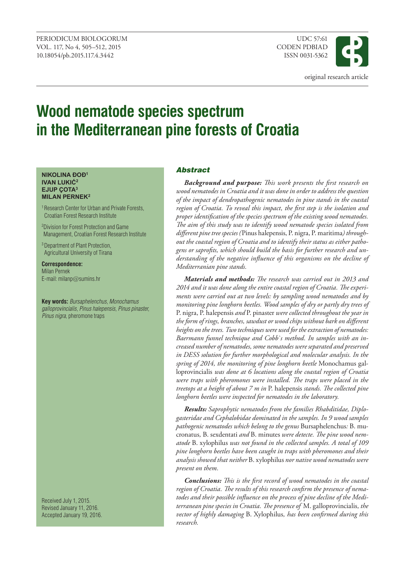

# **Wood nematode species spectrum in the Mediterranean pine forests of Croatia**

#### **NikoliNa ĐoĐ<sup>1</sup> ivaN lukić<sup>2</sup> Ejup Çota3 Milan pErnEk2**

1 Research Center for Urban and Private Forests, Croatian Forest Research Institute

2 Division for Forest Protection and Game Management, Croatian Forest Research Institute

3 Department of Plant Protection, Agricultural University of Tirana

**Correspondence:** Milan Pernek E-mail: milanp@sumins.hr

**Key words:** *Bursaphelenchus*, *Monochamus galloprovincialis*, *Pinus halepensis*, *Pinus pinaster, Pinus nigra*, pheromone traps

Received July 1, 2015. Revised January 11, 2016. Accepted January 19, 2016.

# Abstract

*Background and purpose: This work presents the first research on wood nematodes in Croatia and it was done in order to address the question of the impact of dendropathogenic nematodes in pine stands in the coastal region of Croatia. To reveal this impact, the first step is the isolation and proper identification of the species spectrum of the existing wood nematodes. The aim of this study was to identify wood nematode species isolated from different pine tree species (*Pinus halepensis, P. nigra, P. maritima*) throughout the coastal region of Croatia and to identify their status as either pathogens or saprofits, which should build the basis for further research and understanding of the negative influence of this organisms on the decline of Mediterranian pine stands.*

*Materials and methods: The research was carried out in 2013 and 2014 and it was done along the entire coastal region of Croatia. The experiments were carried out at two levels: by sampling wood nematodes and by monitoring pine longhorn beetles. Wood samples of dry or partly dry trees of*  P. nigra, P. halepensis *and* P. pinaster *were collected throughout the year in the form of rings, branches, sawdust or wood chips without bark on different heights on the trees. Two techniques were used for the extraction of nematodes: Baermann funnel technique and Cobb`s method. In samples with an increased number of nematodes, some nematodes were separated and preserved in DESS solution for further morphological and molecular analysis. In the spring of 2014, the monitoring of pine longhorn beetle* Monochamus galloprovincialis *was done at 6 locations along the coastal region of Croatia were traps with pheromones were installed. The traps were placed in the treetops at a height of about 7 m in* P. halepensis *stands. The collected pine longhorn beetles were inspected for nematodes in the laboratory.*

*Results: Saprophytic nematodes from the families Rhabditidae, Diplogasteridae and Cephalobidae dominated in the samples. In 9 wood samples pathogenic nematodes which belong to the genus* Bursaphelenchus*:* B. mucronatus*,* B. sexdentati *and* B. minutes *were detecte. The pine wood nematode* B. xylophilus *was not found in the collected samples. A total of 109 pine longhorn beetles have been caught in traps with pheromones and their analysis showed that neither* B. xylophilus *nor native wood nematodes were present on them.*

*Conclusions: This is the first record of wood nematodes in the coastal region of Croatia. The results of this research confirm the presence of nematodes and their possible influence on the process of pine decline of the Mediterranean pine species in Croatia. The presence of* M. galloprovincialis*, the vector of highly damaging* B. Xylophilus*, has been confirmed during this research.*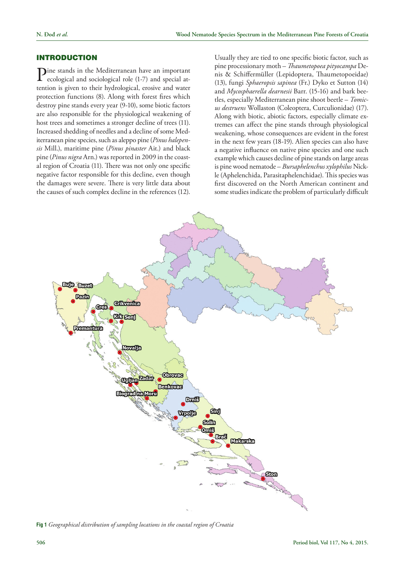### INTRODUCTION

Pine stands in the Mediterranean have an important ecological and sociological role (1-7) and special attention is given to their hydrological, erosive and water protection functions (8). Along with forest fires which destroy pine stands every year (9-10), some biotic factors are also responsible for the physiological weakening of host trees and sometimes a stronger decline of trees (11). Increased shedding of needles and a decline of some Mediterranean pine species, such as aleppo pine (*Pinus halepensis* Mill.), maritime pine (*Pinus pinaster* Ait.) and black pine (*Pinus nigra* Arn.) was reported in 2009 in the coastal region of Croatia (11). There was not only one specific negative factor responsible for this decline, even though the damages were severe. There is very little data about the causes of such complex decline in the references (12).

Usually they are tied to one specific biotic factor, such as pine processionary moth – *Thaumetopoea pityocampa* Denis & Schiffermüller (Lepidoptera, Thaumetopoeidae) (13), fungi *Sphaeropsis sapinea* (Fr.) Dyko et Sutton (14) and *Mycosphaerella dearnesii* Barr. (15-16) and bark beetles, especially Mediterranean pine shoot beetle – *Tomicus destruens* Wollaston (Coleoptera, Curculionidae) (17). Along with biotic, abiotic factors, especially climate extremes can affect the pine stands through physiological weakening, whose consequences are evident in the forest in the next few years (18-19). Alien species can also have a negative influence on native pine species and one such example which causes decline of pine stands on large areas is pine wood nematode – *Bursaphelenchus xylophilus* Nickle (Aphelenchida, Parasitaphelenchidae). This species was first discovered on the North American continent and some studies indicate the problem of particularly difficult



**Fig 1** *Geographical distribution of sampling locations in the coastal region of Croatia*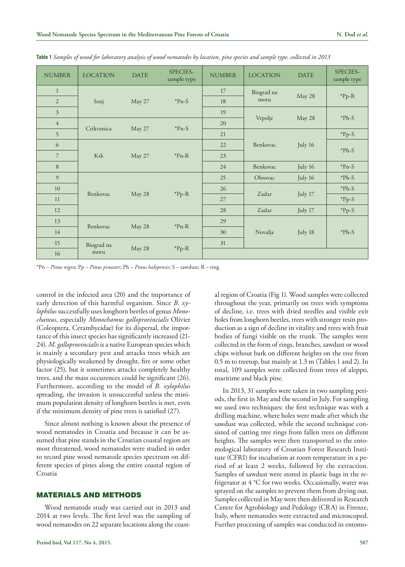| <b>NUMBER</b>  | <b>LOCATION</b> | <b>DATE</b> | SPECIES-<br>sample type | <b>NUMBER</b> | <b>LOCATION</b>   | <b>DATE</b> | SPECIES-<br>sample type |
|----------------|-----------------|-------------|-------------------------|---------------|-------------------|-------------|-------------------------|
| $\mathbf{1}$   |                 |             |                         | 17            | Biograd na        |             |                         |
| $\overline{2}$ | Senj            | May 27      | $*Pn-S$                 | 18            | moru              | May 28      | $*Pp-R$                 |
| $\overline{3}$ |                 |             |                         | 19            |                   |             | $*Ph-S$                 |
| $\overline{4}$ |                 |             | $*Pn-S$                 | 20            | Vrpolje           | May 28      |                         |
| 5              | Crikvenica      | May 27      |                         | 21            |                   |             | $*Pp-S$                 |
| 6              |                 |             | $*Pn-R$                 | 22            | Benkovac          | July 16     | $*Ph-S$                 |
| $\overline{7}$ | Krk             | May 27      |                         | 23            |                   |             |                         |
| 8              |                 |             |                         | 24            | Benkovac          | July 16     | $*Pn-S$                 |
| 9              |                 |             |                         | 25            | Obrovac           | July 16     | $*Ph-S$                 |
| 10             |                 |             | $*Pp-R$                 | 26            | Zadar             |             | $*Ph-S$                 |
| 11             | Benkovac        | May 28      |                         |               | 27<br>Zadar<br>28 | July 17     | $*Pp-S$                 |
| 12             |                 |             |                         |               |                   |             |                         |
| 13             |                 |             |                         | 29            |                   | July 18     |                         |
| 14             | Benkovac        | May 28      | $*Pn-R$                 | 30            | Novalja           |             | $*Ph-S$                 |
| 15             | Biograd na      |             |                         | 31            |                   |             |                         |
| 16             | moru            | May 28      | $*Pp-R$                 |               |                   |             |                         |

**Table 1** *Samples of wood for laboratory analysis of wood nematodes by location, pine species and sample type, collected in 2013*

\*Pn – *Pinus nigra*; Pp – *Pinus pinaster*; Ph – *Pinus halepensis*; S – sawdust; R – ring

control in the infected area (20) and the importance of early detection of this harmful organism. Since *B. xylophilus* successfully uses longhorn beetles of genus *Monochamus*, especially *Monochamus galloprovincialis* Olivier (Coleoptera, Cerambycidae) for its dispersal, the importance of this insect species has significantly increased (21- 24). *M. galloprovincialis* is a native European species which is mainly a secondary pest and attacks trees which are physiologically weakened by drought, fire or some other factor (25), but it sometimes attacks completely healthy trees, and the mass occurences could be significant (26). Furthermore, according to the model of *B. xylophilus* spreading, the invasion is unsuccessful unless the minimum population density of longhorn beetles is met, even if the minimum density of pine trees is satisfied (27).

Since almost nothing is known about the presence of wood nematodes in Croatia and because it can be assumed that pine stands in the Croatian coastal region are most threatened, wood nematodes were studied in order to record pine wood nematode species spectrum on different species of pines along the entire coastal region of Croatia

## MATERIALS AND METHODS

Wood nematode study was carried out in 2013 and 2014 at two levels. The first level was the sampling of wood nematodes on 22 separate locations along the coastal region of Croatia (Fig 1). Wood samples were collected throughout the year, primarily on trees with symptoms of decline, i.e. trees with dried needles and visible exit holes from longhorn beetles, trees with stronger resin production as a sign of decline in vitality and trees with fruit bodies of fungi visible on the trunk. The samples were collected in the form of rings, branches, sawdust or wood chips without bark on different heights on the tree from 0.5 m to treetop, but mainly at 1.3 m (Tables 1 and 2). In total, 109 samples were collected from trees of aleppo, maritime and black pine.

In 2013, 31 samples were taken in two sampling periods, the first in May and the second in July. For sampling we used two techniques: the first technique was with a drilling machine, where holes were made after which the sawdust was collected, while the second technique consisted of cutting tree rings from fallen trees on different heights. The samples were then transported to the entomological laboratory of Croatian Forest Research Institute (CFRI) for incubation at room temperature in a period of at least 2 weeks, followed by the extraction. Samples of sawdust were stored in plastic bags in the refrigerator at 4 °C for two weeks. Occasionally, water was sprayed on the samples to prevent them from drying out. Samples collected in May were then delivered in Research Centre for Agrobiology and Pedology (CRA) in Firenze, Italy, where nematodes were extracted and microscoped. Further processing of samples was conducted in entomo-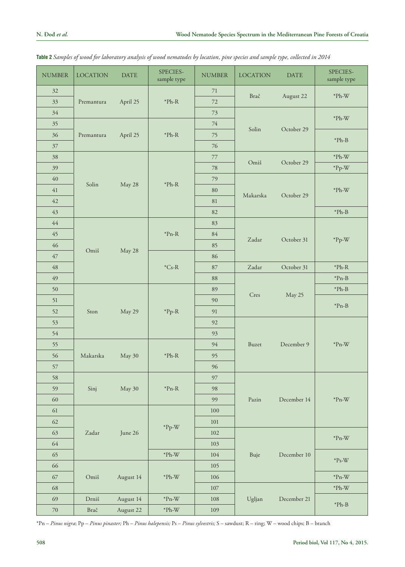| <b>NUMBER</b> | <b>LOCATION</b> | <b>DATE</b> | SPECIES-<br>sample type               | <b>NUMBER</b> | <b>LOCATION</b>        | <b>DATE</b> | SPECIES-<br>sample type                 |
|---------------|-----------------|-------------|---------------------------------------|---------------|------------------------|-------------|-----------------------------------------|
| 32            |                 |             |                                       | $71\,$        |                        |             |                                         |
| 33            | Premantura      | April 25    | ${}^*\mathrm{Ph}\text{-}\mathrm{R}$   | 72            | Brač                   | August 22   | $^{\ast} \mathrm{Ph}\text{-}\mathrm{W}$ |
| 34            |                 |             |                                       | 73            |                        |             | $^{\ast} \mathrm{Ph}\text{-}\mathrm{W}$ |
| 35            |                 |             |                                       | $74\,$        | Solin                  | October 29  |                                         |
| 36            | Premantura      | April 25    | ${}^*\mathrm{Ph}\text{-}\mathrm{R}$   | 75            |                        |             | $^{\ast} \mathrm{Ph}\text{-}\mathrm{B}$ |
| $37\,$        |                 |             |                                       | 76            |                        |             |                                         |
| 38            |                 |             |                                       | 77            | Omiš                   | October 29  | $^{\ast} \text{Ph-W}$                   |
| 39            |                 |             |                                       | 78            |                        |             | $*Pp-W$                                 |
| 40            | Solin           | May 28      | ${}^*\!\mathsf{Ph}\text{-}\mathsf{R}$ | 79            |                        |             |                                         |
| 41            |                 |             |                                       | 80            | Makarska               | October 29  | $^{\ast} \mathrm{Ph}\text{-}\mathrm{W}$ |
| 42            |                 |             |                                       | 81            |                        |             |                                         |
| 43            |                 |             |                                       | 82            |                        |             | $^{\ast} \text{Ph-B}$                   |
| 44            |                 |             |                                       | 83            |                        |             |                                         |
| 45            |                 |             | $*Pn-R$                               | $84\,$        | Zadar                  | October 31  | $*Pp-W$                                 |
| 46            | Omiš            | May 28      |                                       | 85            |                        |             |                                         |
| $47\,$        |                 |             |                                       | 86            |                        |             |                                         |
| 48            |                 |             | $\,^*$ Cs-R                           | 87            | Zadar                  | October 31  | $*Ph-R$                                 |
| 49            |                 |             |                                       | 88            | Cres                   | May 25      | $\rm ^*Pn\text{-}B$                     |
| 50            |                 |             |                                       | 89            |                        |             | $^{\ast} \mathrm{Ph}\text{-}\mathrm{B}$ |
| 51            |                 |             | $*Pp-R$                               | 90            |                        |             | $^{\ast} \mathrm{Pn-B}$                 |
| 52            | Ston            | May 29      |                                       | 91            |                        |             |                                         |
| 53            |                 |             |                                       | 92            |                        |             |                                         |
| 54            |                 |             |                                       | 93            |                        |             |                                         |
| 55            |                 |             |                                       | 94            | Buzet                  | December 9  | $^{\ast}{\rm Pn\text{-}W}$              |
| 56            | Makarska        | May 30      | ${}^*\mathrm{Ph}\text{-}\mathrm{R}$   | 95            |                        |             |                                         |
| 57            |                 |             |                                       | 96            |                        |             |                                         |
| 58            |                 |             |                                       | 97            |                        |             |                                         |
| 59            | Sinj            | May 30      | $\rm ^*Pn\text{-}R$                   | 98            |                        |             |                                         |
| 60            |                 |             |                                       | 99            | $\operatorname{Pazin}$ | December 14 | $^{\ast}{\rm Pn\text{-}W}$              |
| 61            |                 |             |                                       | $100\,$       |                        |             |                                         |
| $62\,$        |                 |             |                                       | $101\,$       |                        |             |                                         |
| 63            | Zadar           | June 26     | $*Pp-W$                               | 102           |                        |             |                                         |
| 64            |                 |             |                                       | 103           |                        |             | $^{\ast}{\rm Pn\text{-}W}$              |
| 65            |                 |             | $^{\ast} \text{Ph-W}$                 | $104\,$       | Buje                   | December 10 |                                         |
| 66            |                 |             |                                       | $105\,$       |                        |             | $\rm ^*Ps\text{-}W$                     |
| 67            | Omiš            | August 14   | $^{\ast} \text{Ph-W}$                 | 106           |                        |             | $^{\ast}{\rm Pn\text{-}W}$              |
| 68            |                 |             |                                       | $107\,$       |                        |             | $^{\ast} \text{Ph-W}$                   |
| 69            | Drniš           | August 14   | $^{\ast}{\rm Pn\text{-}W}$            | $108\,$       | Ugljan                 | December 21 |                                         |
| $70\,$        | Brač            | August 22   | $^{\ast} \text{Ph-W}$                 | 109           |                        |             | $^{\ast}{\rm Ph\text{-}B}$              |

| Table 2 Samples of wood for laboratory analysis of wood nematodes by location, pine species and sample type, collected in 2014 |  |  |  |  |
|--------------------------------------------------------------------------------------------------------------------------------|--|--|--|--|
|--------------------------------------------------------------------------------------------------------------------------------|--|--|--|--|

\*Pn – *Pinus nigra*; Pp – *Pinus pinaster;* Ph – *Pinus halepensis;* Ps – *Pinus sylvestris;* S – sawdust; R – ring; W – wood chips; B – branch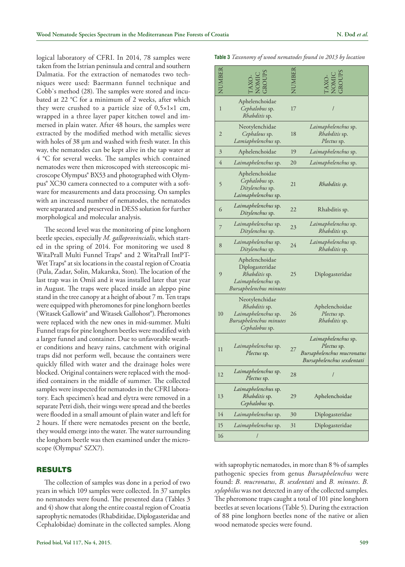logical laboratory of CFRI. In 2014, 78 samples were taken from the Istrian peninsula and central and southern Dalmatia. For the extraction of nematodes two techniques were used: Baermann funnel technique and Cobb`s method (28). The samples were stored and incubated at 22 °C for a minimum of 2 weeks, after which they were crushed to a particle size of 0,5×1×1 cm, wrapped in a three layer paper kitchen towel and immersed in plain water. After 48 hours, the samples were extracted by the modified method with metallic sieves with holes of 38 µm and washed with fresh water. In this way, the nematodes can be kept alive in the tap water at 4 °C for several weeks. The samples which contained nematodes were then microscoped with stereoscopic microscope Olympus® BX53 and photographed with Olympus® XC30 camera connected to a computer with a software for measurements and data processing. On samples with an increased number of nematodes, the nematodes were separated and preserved in DESS solution for further morphological and molecular analysis.

The second level was the monitoring of pine longhorn beetle species, especially *M. galloprovincialis*, which started in the spring of 2014. For monitoring we used 8 WitaPrall Multi Funnel Traps® and 2 WitaPrall IntPT-Wet Traps<sup>®</sup> at six locations in the coastal region of Croatia (Pula, Zadar, Solin, Makarska, Ston). The location of the last trap was in Omiš and it was installed later that year in August. The traps were placed inside an aleppo pine stand in the tree canopy at a height of about 7 m. Ten traps were equipped with pheromones for pine longhorn beetles (Witasek Gallowit® and Witasek Gallohost®). Pheromones were replaced with the new ones in mid-summer. Multi Funnel traps for pine longhorn beetles were modified with a larger funnel and container. Due to unfavorable weather conditions and heavy rains, catchment with original traps did not perform well, because the containers were quickly filled with water and the drainage holes were blocked. Original containers were replaced with the modified containers in the middle of summer. The collected samples were inspected for nematodes in the CFRI laboratory. Each specimen's head and elytra were removed in a separate Petri dish, their wings were spread and the beetles were flooded in a small amount of plain water and left for 2 hours. If there were nematodes present on the beetle, they would emerge into the water. The water surrounding the longhorn beetle was then examined under the microscope (Olympus<sup>®</sup> SZX7).

#### RESULTS

The collection of samples was done in a period of two years in which 109 samples were collected. In 37 samples no nematodes were found. The presented data (Tables 3 and 4) show that along the entire coastal region of Croatia saprophytic nematodes (Rhabditidae, Diplogasteridae and Cephalobidae) dominate in the collected samples. Along

|  |  |  | Table 3 Taxonomy of wood nematodes found in 2013 by location |  |  |  |
|--|--|--|--------------------------------------------------------------|--|--|--|
|--|--|--|--------------------------------------------------------------|--|--|--|

| NUMBER         |                                                                                                      |    |                                                                                                |
|----------------|------------------------------------------------------------------------------------------------------|----|------------------------------------------------------------------------------------------------|
| $\mathbf{1}$   | Aphelenchoidae<br>Cephalobus sp.<br>Rhabditis sp.                                                    | 17 |                                                                                                |
| $\overline{2}$ | Neotylenchidae<br>Cephalous sp.<br>Lamiaphelenchus sp.                                               | 18 | Laimaphelenchus sp.<br>Rhabditis sp.<br>Plectus sp.                                            |
| 3              | Aphelenchoidae                                                                                       | 19 | Laimaphelenchus sp.                                                                            |
| 4              | Laimaphelenchus sp.                                                                                  | 20 | Laimaphelenchus sp.                                                                            |
| 5              | Aphelenchoidae<br>Cephalobus sp.<br>Ditylenchus sp.<br>Laimaphelenchus sp.                           | 21 | Rhabditis sp.                                                                                  |
| 6              | Laimaphelenchus sp.<br>Ditylenchus sp.                                                               | 22 | Rhabditis sp.                                                                                  |
| 7              | Laimaphelenchus sp.<br>Ditylenchus sp.                                                               | 23 | Laimaphelenchus sp.<br>Rhabditis sp.                                                           |
| 8              | Laimaphelenchus sp.<br>Ditylenchus sp.                                                               | 24 | Laimaphelenchus sp.<br>Rhabditis sp.                                                           |
| 9              | Aphelenchoidae<br>Diplogasteridae<br>Rhabditis sp.<br>Laimaphelenchus sp.<br>Bursaphelenchus minutes | 25 | Diplogasteridae                                                                                |
| 10             | Neotylenchidae<br>Rhabditis sp.<br>Laimaphelenchus sp.<br>Bursaphelenchus minutes<br>Cephalobus sp.  | 26 | Aphelenchoidae<br>Plectus sp.<br>Rhabditis sp.                                                 |
| 11             | Laimaphelenchus sp.<br>Plectus sp.                                                                   | 27 | Laimaphelenchus sp.<br>Plectus sp.<br>Bursaphelenchus mucronatus<br>Bursaphelenchus sexdentati |
| 12             | Laimaphelenchus sp.<br>Plectus sp.                                                                   | 28 | /                                                                                              |
| 13             | Laimaphelenchus sp.<br>Rhabditis sp.<br>Cephalobus sp.                                               | 29 | Aphelenchoidae                                                                                 |
| 14             | Laimaphelenchus sp.                                                                                  | 30 | Diplogasteridae                                                                                |
| 15             | Laimaphelenchus sp.                                                                                  | 31 | Diplogasteridae                                                                                |
| 16             | /                                                                                                    |    |                                                                                                |

with saprophytic nematodes, in more than 8 % of samples pathogenic species from genus *Bursaphelenchus* were found: *B. mucronatus*, *B. sexdentati* and *B. minutes*. *B. xylophilus* was not detected in any of the collected samples. The pheromone traps caught a total of 101 pine longhorn beetles at seven locations (Table 5). During the extraction of 88 pine longhorn beetles none of the native or alien wood nematode species were found.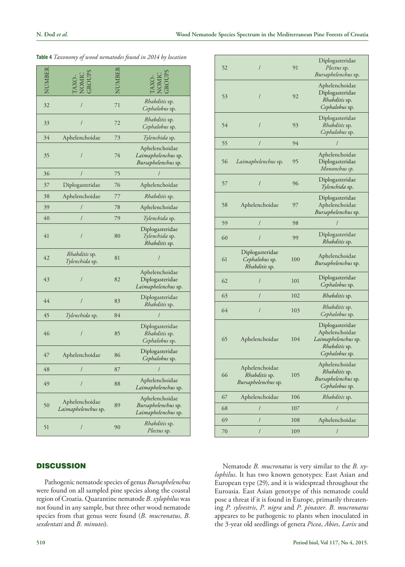| UMBER |                                       |    |                                                                  |
|-------|---------------------------------------|----|------------------------------------------------------------------|
| 32    | /                                     | 71 | Rhabditis sp.<br>Cephalobus sp.                                  |
| 33    |                                       | 72 | Rhabditis sp.<br>Cephalobus sp.                                  |
| 34    | Aphelenchoidae                        | 73 | Tylenchida sp.                                                   |
| 35    |                                       | 74 | Aphelenchoidae<br>Laimaphelenchus sp.<br>Bursaphelenchus sp.     |
| 36    | $\overline{I}$                        | 75 |                                                                  |
| 37    | Diplogasteridae                       | 76 | Aphelenchoidae                                                   |
| 38    | Aphelenchoidae                        | 77 | <i>Rhabditis</i> sp.                                             |
| 39    | $\sqrt{2}$                            | 78 | Aphelenchoidae                                                   |
| 40    | 1                                     | 79 | <i>Tylenchida</i> sp.                                            |
| 41    | 1                                     | 80 | Diplogasteridae<br><i>Tylenchida</i> sp.<br><i>Rhabditis</i> sp. |
| 42    | Rhabditis sp.<br>Tylenchida sp.       | 81 | $\prime$                                                         |
| 43    |                                       | 82 | Aphelenchoidae<br>Diplogasteridae<br>Laimaphelenchus sp.         |
| 44    |                                       | 83 | Diplogasteridae<br>Rhabditis sp.                                 |
| 45    | Tylenchida sp.                        | 84 | /                                                                |
| 46    | I                                     | 85 | Diplogasteridae<br>Rhabditis sp.<br>Cephalobus sp.               |
| 47    | Aphelenchoidae                        | 86 | Diplogasteridae<br>Cephalobus sp.                                |
| 48    | $\prime$                              | 87 |                                                                  |
| 49    | $\overline{I}$                        | 88 | Aphelenchoidae<br>Laimaphelenchus sp.                            |
| 50    | Aphelenchoidae<br>Laimaphelenchus sp. | 89 | Aphelenchoidae<br>Bursaphelenchus sp.<br>Laimaphelenchus sp.     |
| 51    | 1                                     | 90 | <i>Rhabditis</i> sp.<br><i>Plectus</i> sp.                       |

|  |  |  |  |  | Table 4 Taxonomy of wood nematodes found in 2014 by location |  |
|--|--|--|--|--|--------------------------------------------------------------|--|
|--|--|--|--|--|--------------------------------------------------------------|--|

# **DISCUSSION**

Pathogenic nematode species of genus *Bursaphelenchus* were found on all sampled pine species along the coastal region of Croatia. Quarantine nematode *B. xylophilus* was not found in any sample, but three other wood nematode species from that genus were found (*B. mucronatus*, *B. sexdentati* and *B. minutes*).

| 52 | I                                                      | 91  | Diplogasteridae<br>Plectus sp.<br>Bursaphelenchus sp.                                       |
|----|--------------------------------------------------------|-----|---------------------------------------------------------------------------------------------|
| 53 | /                                                      | 92  | Aphelenchoidae<br>Diplogasteridae<br><i>Rhabditis</i> sp.<br>Cephalobus sp.                 |
| 54 | $\prime$                                               | 93  | Diplogasteridae<br>Rhabditis sp.<br>Cephalobus sp.                                          |
| 55 | $\sqrt{2}$                                             | 94  |                                                                                             |
| 56 | Laimaphelenchus sp.                                    | 95  | Aphelenchoidae<br>Diplogasteridae<br>Mononchus sp.                                          |
| 57 | I                                                      | 96  | Diplogasteridae<br>Tylenchida sp.                                                           |
| 58 | Aphelenchoidae                                         | 97  | Diplogasteridae<br>Aphelenchoidae<br>Bursaphelenchus sp.                                    |
| 59 |                                                        | 98  |                                                                                             |
| 60 | 1                                                      | 99  | Diplogasteridae<br>Rhabditis sp.                                                            |
| 61 | Diplogasteridae<br>Cephalobus sp.<br>Rhabditis sp.     | 100 | Aphelenchoidae<br>Bursaphelenchus sp.                                                       |
| 62 | /                                                      | 101 | Diplogasteridae<br>Cephalobus sp.                                                           |
| 63 | I                                                      | 102 | <i>Rhabditis</i> sp.                                                                        |
| 64 | /                                                      | 103 | <i>Rhabditis</i> sp.<br>Cephalobus sp.                                                      |
| 65 | Aphelenchoidae                                         | 104 | Diplogasteridae<br>Aphelenchoidae<br>Laimaphelenchus sp.<br>Rhabditis sp.<br>Cephalobus sp. |
| 66 | Aphelenchoidae<br>Rhabditis sp.<br>Bursaphelenchus sp. | 105 | Aphelenchoidae<br>Rhabditis sp.<br>Bursaphelenchus sp.<br>Cephalobus sp.                    |
| 67 | Aphelenchoidae                                         | 106 | Rhabditis sp.                                                                               |
| 68 | /                                                      | 107 | $\prime$                                                                                    |
| 69 | /                                                      | 108 | Aphelenchoidae                                                                              |
| 70 | I                                                      | 109 |                                                                                             |

Nematode *B. mucronatus* is very similar to the *B. xylophilus*. It has two known genotypes: East Asian and European type (29), and it is widespread throughout the Euroasia. East Asian genotype of this nematode could pose a threat if it is found in Europe, primarily threatening *P. sylvestris*, *P. nigra* and *P. pinaster*. *B. mucronatus* appeares to be pathogenic to plants when inoculated in the 3-year old seedlings of genera *Picea*, *Abies*, *Larix* and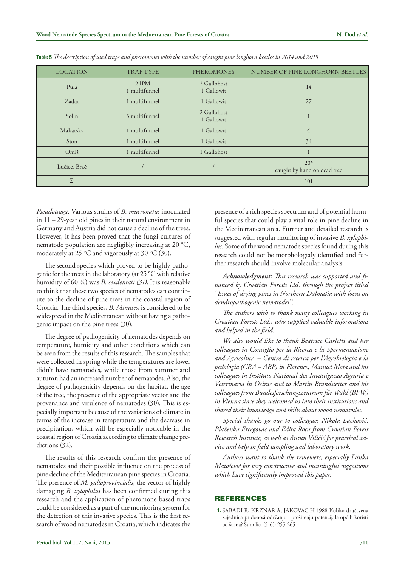| <b>LOCATION</b> | <b>TRAP TYPE</b>         | <b>PHEROMONES</b>         | NUMBER OF PINE LONGHORN BEETLES      |
|-----------------|--------------------------|---------------------------|--------------------------------------|
| Pula            | $2$ IPM<br>1 multifunnel | 2 Gallohost<br>1 Gallowit | 14                                   |
| Zadar           | 1 multifunnel            | 1 Gallowit                | 27                                   |
| Solin           | 3 multifunnel            | 2 Gallohost<br>1 Gallowit |                                      |
| Makarska        | 1 multifunnel            | 1 Gallowit                | $\overline{4}$                       |
| Ston            | 1 multifunnel            | 1 Gallowit                | 34                                   |
| Omiš            | 1 multifunnel            | 1 Gallohost               |                                      |
| Lučice, Brač    |                          |                           | $20*$<br>caught by hand on dead tree |
| Σ               |                          |                           | 101                                  |

**Table 5** *The description of used traps and pheromones with the number of caught pine longhorn beetles in 2014 and 2015*

*Pseudotsuga*. Various strains of *B. mucronatus* inoculated in 11 – 29-year old pines in their natural environment in Germany and Austria did not cause a decline of the trees. However, it has been proved that the fungi cultures of nematode population are negligibly increasing at 20 °C, moderately at 25 °C and vigorously at 30 °C (30).

The second species which proved to be highly pathogenic for the trees in the laboratory (at 25 °C with relative humidity of 60 %) was *B. sexdentati (31)*. It is reasonable to think that these two species of nematodes can contribute to the decline of pine trees in the coastal region of Croatia. The third species, *B. Minutes*, is considered to be widespread in the Mediterranean without having a pathogenic impact on the pine trees (30).

The degree of pathogenicity of nematodes depends on temperature, humidity and other conditions which can be seen from the results of this research. The samples that were collected in spring while the temperatures are lower didn`t have nematodes, while those from summer and autumn had an increased number of nematodes. Also, the degree of pathogenicity depends on the habitat, the age of the tree, the presence of the appropriate vector and the provenance and virulence of nematodes (30). This is especially important because of the variations of climate in terms of the increase in temperature and the decrease in precipitation, which will be especially noticable in the coastal region of Croatia according to climate change predictions (32).

The results of this research confirm the presence of nematodes and their possible influence on the process of pine decline of the Mediterranean pine species in Croatia. The presence of *M. galloprovincialis*, the vector of highly damaging *B. xylophilus* has been confirmed during this research and the application of pheromone based traps could be considered as a part of the monitoring system for the detection of this invasive species. This is the first research of wood nematodes in Croatia, which indicates the presence of a rich species spectrum and of potential harmful species that could play a vital role in pine decline in the Mediterranean area. Further and detailed research is suggested with regular monitoring of invasive *B. xylophilus*. Some of the wood nematode species found during this research could not be morphologialy identified and further research should involve molecular analysis

*Acknowledgment: This research was supported and financed by Croatian Forests Ltd. through the project titled ''Issues of drying pines in Northern Dalmatia with focus on dendropathogenic nematodes''.*

*The authors wish to thank many colleagues working in Croatian Forests Ltd., who supplied valuable informations and helped in the field.*

*We also would like to thank Beatrice Carletti and her colleagues in Consiglio per la Ricerca e la Spermentazione and Agricoltur – Centro di recerca per l'Agrobiologia e la pedologia (CRA – ABP) in Florence, Manuel Mota and his colleagues in Instituto Nacional dos Invastigacao Agraria e Veterinaria in Oeiras and to Martin Brandstetter and his colleagues from Bundesforschungszentrum für Wald (BFW) in Vienna since they welcomed us into their institutions and shared their knowledge and skills about wood nematodes.*

*Special thanks go our to colleagues Nikola Lacković, Blaženka Ercegovac and Edita Roca from Croatian Forest Research Institute, as well as Antun Viličić for practical advice and help in field sampling and laboratory work.*

*Authors want to thank the reviewers, especially Dinka Matošević for very constructive and meaningful suggestions which have significantly improved this paper.*

#### REFERENCES

**1.** SABADI R, KRZNAR A, JAKOVAC H 1988 Koliko društvena zajednica pridonosi održanju i proširenju potencijala općih koristi od šuma? Šum list (5-6): 255-265